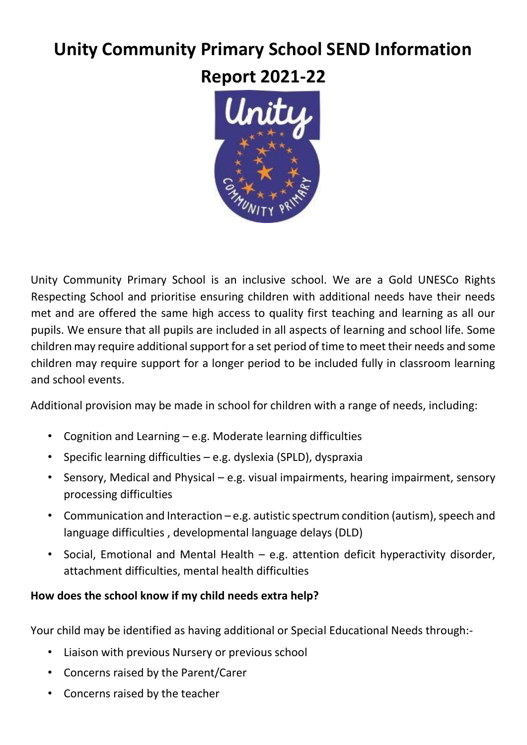# **Unity Community Primary School SEND Information**

**Report 2021-22**



Unity Community Primary School is an inclusive school. We are a Gold UNESCo Rights Respecting School and prioritise ensuring children with additional needs have their needs met and are offered the same high access to quality first teaching and learning as all our pupils. We ensure that all pupils are included in all aspects of learning and school life. Some children may require additional support for a set period of time to meet their needs and some children may require support for a longer period to be included fully in classroom learning and school events.

Additional provision may be made in school for children with a range of needs, including:

- Cognition and Learning e.g. Moderate learning difficulties
- Specific learning difficulties e.g. dyslexia (SPLD), dyspraxia
- Sensory, Medical and Physical e.g. visual impairments, hearing impairment, sensory processing difficulties
- Communication and Interaction e.g. autistic spectrum condition (autism), speech and language difficulties , developmental language delays (DLD)
- Social, Emotional and Mental Health e.g. attention deficit hyperactivity disorder, attachment difficulties, mental health difficulties

# **How does the school know if my child needs extra help?**

Your child may be identified as having additional or Special Educational Needs through:-

- Liaison with previous Nursery or previous school
- Concerns raised by the Parent/Carer
- Concerns raised by the teacher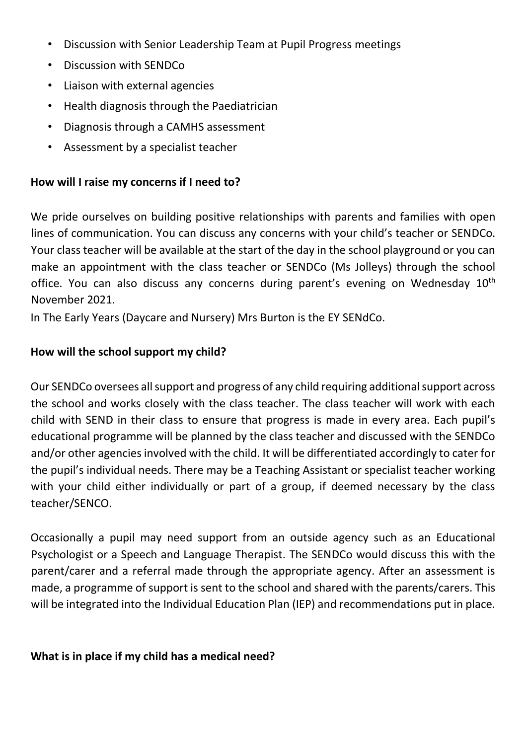- Discussion with Senior Leadership Team at Pupil Progress meetings
- Discussion with SENDCo
- Liaison with external agencies
- Health diagnosis through the Paediatrician
- Diagnosis through a CAMHS assessment
- Assessment by a specialist teacher

#### **How will I raise my concerns if I need to?**

We pride ourselves on building positive relationships with parents and families with open lines of communication. You can discuss any concerns with your child's teacher or SENDCo. Your class teacher will be available at the start of the day in the school playground or you can make an appointment with the class teacher or SENDCo (Ms Jolleys) through the school office. You can also discuss any concerns during parent's evening on Wednesday 10<sup>th</sup> November 2021.

In The Early Years (Daycare and Nursery) Mrs Burton is the EY SENdCo.

#### **How will the school support my child?**

Our SENDCo oversees all support and progress of any child requiring additional support across the school and works closely with the class teacher. The class teacher will work with each child with SEND in their class to ensure that progress is made in every area. Each pupil's educational programme will be planned by the class teacher and discussed with the SENDCo and/or other agencies involved with the child. It will be differentiated accordingly to cater for the pupil's individual needs. There may be a Teaching Assistant or specialist teacher working with your child either individually or part of a group, if deemed necessary by the class teacher/SENCO.

Occasionally a pupil may need support from an outside agency such as an Educational Psychologist or a Speech and Language Therapist. The SENDCo would discuss this with the parent/carer and a referral made through the appropriate agency. After an assessment is made, a programme of support is sent to the school and shared with the parents/carers. This will be integrated into the Individual Education Plan (IEP) and recommendations put in place.

## **What is in place if my child has a medical need?**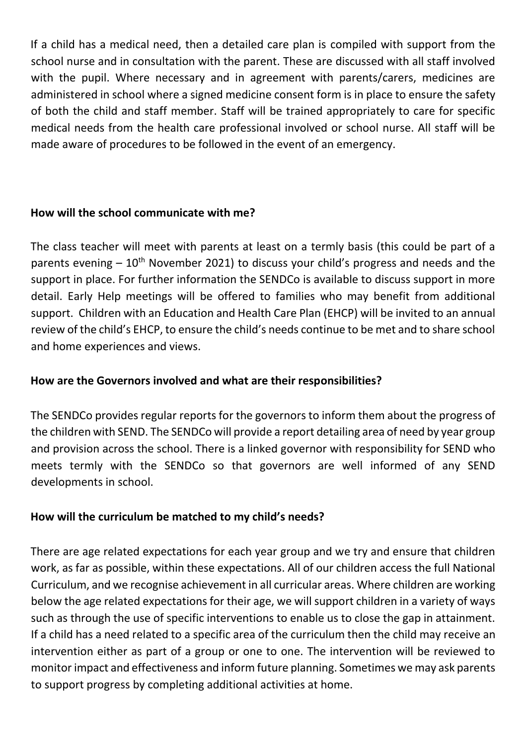If a child has a medical need, then a detailed care plan is compiled with support from the school nurse and in consultation with the parent. These are discussed with all staff involved with the pupil. Where necessary and in agreement with parents/carers, medicines are administered in school where a signed medicine consent form is in place to ensure the safety of both the child and staff member. Staff will be trained appropriately to care for specific medical needs from the health care professional involved or school nurse. All staff will be made aware of procedures to be followed in the event of an emergency.

#### **How will the school communicate with me?**

The class teacher will meet with parents at least on a termly basis (this could be part of a parents evening  $-10<sup>th</sup>$  November 2021) to discuss your child's progress and needs and the support in place. For further information the SENDCo is available to discuss support in more detail. Early Help meetings will be offered to families who may benefit from additional support. Children with an Education and Health Care Plan (EHCP) will be invited to an annual review of the child's EHCP, to ensure the child's needs continue to be met and to share school and home experiences and views.

## **How are the Governors involved and what are their responsibilities?**

The SENDCo provides regular reports for the governors to inform them about the progress of the children with SEND. The SENDCo will provide a report detailing area of need by year group and provision across the school. There is a linked governor with responsibility for SEND who meets termly with the SENDCo so that governors are well informed of any SEND developments in school.

## **How will the curriculum be matched to my child's needs?**

There are age related expectations for each year group and we try and ensure that children work, as far as possible, within these expectations. All of our children access the full National Curriculum, and we recognise achievement in all curricular areas. Where children are working below the age related expectations for their age, we will support children in a variety of ways such as through the use of specific interventions to enable us to close the gap in attainment. If a child has a need related to a specific area of the curriculum then the child may receive an intervention either as part of a group or one to one. The intervention will be reviewed to monitor impact and effectiveness and inform future planning. Sometimes we may ask parents to support progress by completing additional activities at home.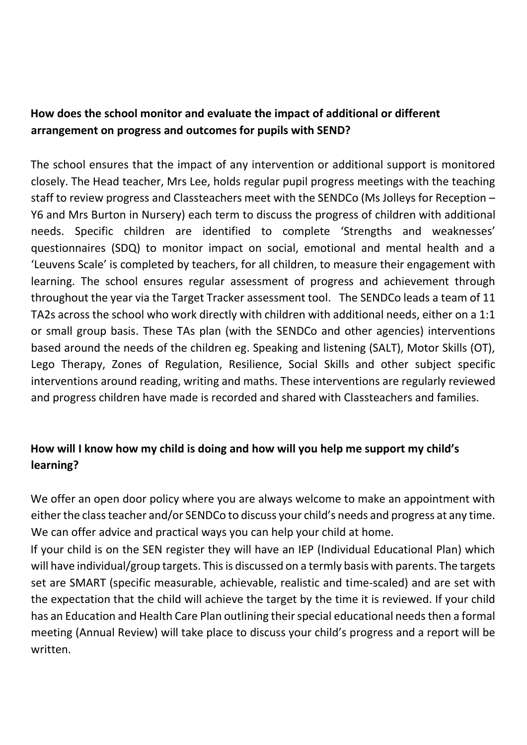## **How does the school monitor and evaluate the impact of additional or different arrangement on progress and outcomes for pupils with SEND?**

The school ensures that the impact of any intervention or additional support is monitored closely. The Head teacher, Mrs Lee, holds regular pupil progress meetings with the teaching staff to review progress and Classteachers meet with the SENDCo (Ms Jolleys for Reception – Y6 and Mrs Burton in Nursery) each term to discuss the progress of children with additional needs. Specific children are identified to complete 'Strengths and weaknesses' questionnaires (SDQ) to monitor impact on social, emotional and mental health and a 'Leuvens Scale' is completed by teachers, for all children, to measure their engagement with learning. The school ensures regular assessment of progress and achievement through throughout the year via the Target Tracker assessment tool. The SENDCo leads a team of 11 TA2s across the school who work directly with children with additional needs, either on a 1:1 or small group basis. These TAs plan (with the SENDCo and other agencies) interventions based around the needs of the children eg. Speaking and listening (SALT), Motor Skills (OT), Lego Therapy, Zones of Regulation, Resilience, Social Skills and other subject specific interventions around reading, writing and maths. These interventions are regularly reviewed and progress children have made is recorded and shared with Classteachers and families.

# **How will I know how my child is doing and how will you help me support my child's learning?**

We offer an open door policy where you are always welcome to make an appointment with either the class teacher and/or SENDCo to discuss your child's needs and progress at any time. We can offer advice and practical ways you can help your child at home.

If your child is on the SEN register they will have an IEP (Individual Educational Plan) which will have individual/group targets. This is discussed on a termly basis with parents. The targets set are SMART (specific measurable, achievable, realistic and time-scaled) and are set with the expectation that the child will achieve the target by the time it is reviewed. If your child has an Education and Health Care Plan outlining their special educational needs then a formal meeting (Annual Review) will take place to discuss your child's progress and a report will be written.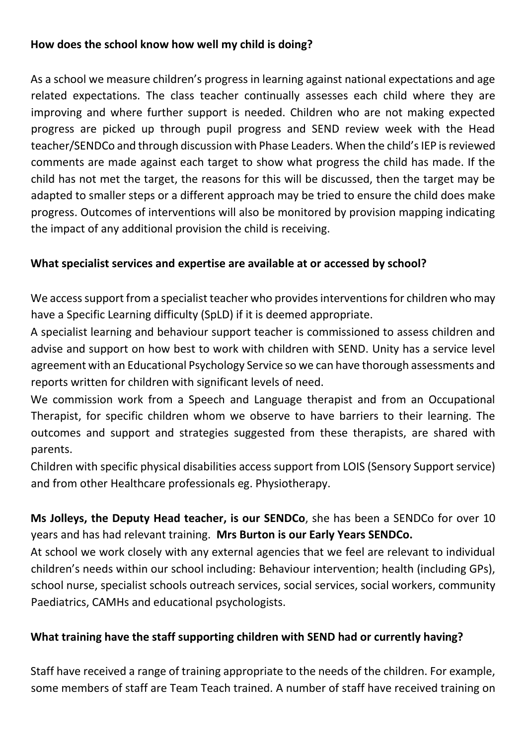## **How does the school know how well my child is doing?**

As a school we measure children's progress in learning against national expectations and age related expectations. The class teacher continually assesses each child where they are improving and where further support is needed. Children who are not making expected progress are picked up through pupil progress and SEND review week with the Head teacher/SENDCo and through discussion with Phase Leaders. When the child's IEP is reviewed comments are made against each target to show what progress the child has made. If the child has not met the target, the reasons for this will be discussed, then the target may be adapted to smaller steps or a different approach may be tried to ensure the child does make progress. Outcomes of interventions will also be monitored by provision mapping indicating the impact of any additional provision the child is receiving.

## **What specialist services and expertise are available at or accessed by school?**

We access support from a specialist teacher who provides interventions for children who may have a Specific Learning difficulty (SpLD) if it is deemed appropriate.

A specialist learning and behaviour support teacher is commissioned to assess children and advise and support on how best to work with children with SEND. Unity has a service level agreement with an Educational Psychology Service so we can have thorough assessments and reports written for children with significant levels of need.

We commission work from a Speech and Language therapist and from an Occupational Therapist, for specific children whom we observe to have barriers to their learning. The outcomes and support and strategies suggested from these therapists, are shared with parents.

Children with specific physical disabilities access support from LOIS (Sensory Support service) and from other Healthcare professionals eg. Physiotherapy.

**Ms Jolleys, the Deputy Head teacher, is our SENDCo**, she has been a SENDCo for over 10 years and has had relevant training. **Mrs Burton is our Early Years SENDCo.**

At school we work closely with any external agencies that we feel are relevant to individual children's needs within our school including: Behaviour intervention; health (including GPs), school nurse, specialist schools outreach services, social services, social workers, community Paediatrics, CAMHs and educational psychologists.

## **What training have the staff supporting children with SEND had or currently having?**

Staff have received a range of training appropriate to the needs of the children. For example, some members of staff are Team Teach trained. A number of staff have received training on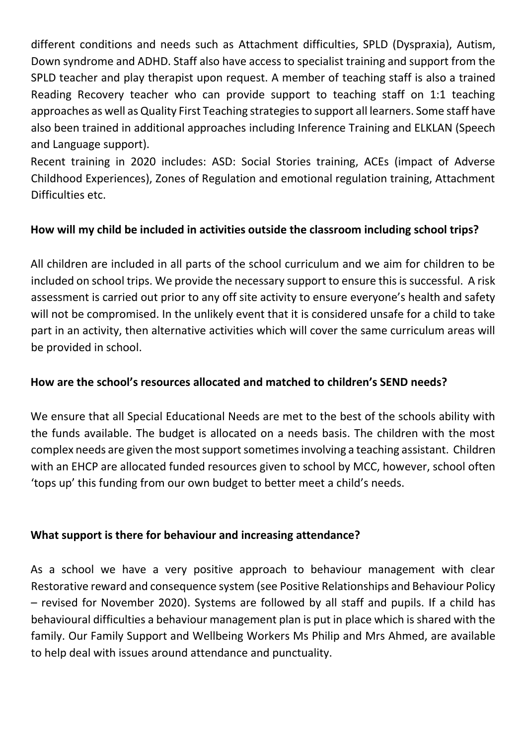different conditions and needs such as Attachment difficulties, SPLD (Dyspraxia), Autism, Down syndrome and ADHD. Staff also have access to specialist training and support from the SPLD teacher and play therapist upon request. A member of teaching staff is also a trained Reading Recovery teacher who can provide support to teaching staff on 1:1 teaching approaches as well as Quality First Teaching strategies to support all learners. Some staff have also been trained in additional approaches including Inference Training and ELKLAN (Speech and Language support).

Recent training in 2020 includes: ASD: Social Stories training, ACEs (impact of Adverse Childhood Experiences), Zones of Regulation and emotional regulation training, Attachment Difficulties etc.

## **How will my child be included in activities outside the classroom including school trips?**

All children are included in all parts of the school curriculum and we aim for children to be included on school trips. We provide the necessary support to ensure this is successful. A risk assessment is carried out prior to any off site activity to ensure everyone's health and safety will not be compromised. In the unlikely event that it is considered unsafe for a child to take part in an activity, then alternative activities which will cover the same curriculum areas will be provided in school.

#### **How are the school's resources allocated and matched to children's SEND needs?**

We ensure that all Special Educational Needs are met to the best of the schools ability with the funds available. The budget is allocated on a needs basis. The children with the most complex needs are given the most support sometimes involving a teaching assistant. Children with an EHCP are allocated funded resources given to school by MCC, however, school often 'tops up' this funding from our own budget to better meet a child's needs.

#### **What support is there for behaviour and increasing attendance?**

As a school we have a very positive approach to behaviour management with clear Restorative reward and consequence system (see Positive Relationships and Behaviour Policy – revised for November 2020). Systems are followed by all staff and pupils. If a child has behavioural difficulties a behaviour management plan is put in place which is shared with the family. Our Family Support and Wellbeing Workers Ms Philip and Mrs Ahmed, are available to help deal with issues around attendance and punctuality.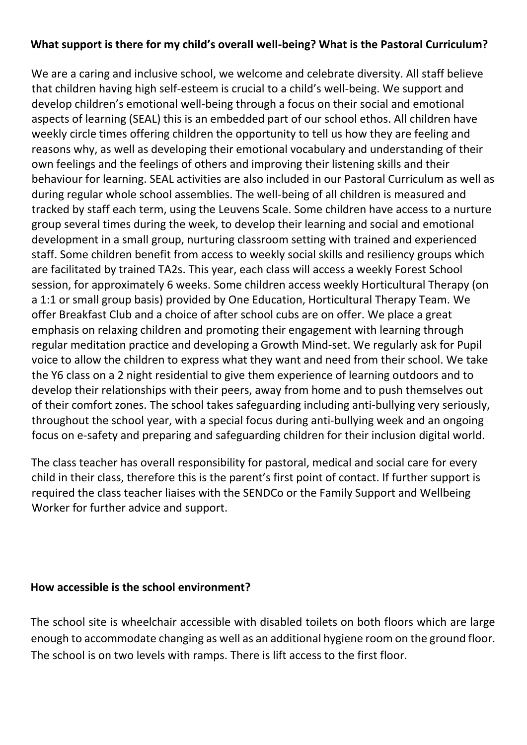#### **What support is there for my child's overall well-being? What is the Pastoral Curriculum?**

We are a caring and inclusive school, we welcome and celebrate diversity. All staff believe that children having high self-esteem is crucial to a child's well-being. We support and develop children's emotional well-being through a focus on their social and emotional aspects of learning (SEAL) this is an embedded part of our school ethos. All children have weekly circle times offering children the opportunity to tell us how they are feeling and reasons why, as well as developing their emotional vocabulary and understanding of their own feelings and the feelings of others and improving their listening skills and their behaviour for learning. SEAL activities are also included in our Pastoral Curriculum as well as during regular whole school assemblies. The well-being of all children is measured and tracked by staff each term, using the Leuvens Scale. Some children have access to a nurture group several times during the week, to develop their learning and social and emotional development in a small group, nurturing classroom setting with trained and experienced staff. Some children benefit from access to weekly social skills and resiliency groups which are facilitated by trained TA2s. This year, each class will access a weekly Forest School session, for approximately 6 weeks. Some children access weekly Horticultural Therapy (on a 1:1 or small group basis) provided by One Education, Horticultural Therapy Team. We offer Breakfast Club and a choice of after school cubs are on offer. We place a great emphasis on relaxing children and promoting their engagement with learning through regular meditation practice and developing a Growth Mind-set. We regularly ask for Pupil voice to allow the children to express what they want and need from their school. We take the Y6 class on a 2 night residential to give them experience of learning outdoors and to develop their relationships with their peers, away from home and to push themselves out of their comfort zones. The school takes safeguarding including anti-bullying very seriously, throughout the school year, with a special focus during anti-bullying week and an ongoing focus on e-safety and preparing and safeguarding children for their inclusion digital world.

The class teacher has overall responsibility for pastoral, medical and social care for every child in their class, therefore this is the parent's first point of contact. If further support is required the class teacher liaises with the SENDCo or the Family Support and Wellbeing Worker for further advice and support.

#### **How accessible is the school environment?**

The school site is wheelchair accessible with disabled toilets on both floors which are large enough to accommodate changing as well as an additional hygiene room on the ground floor. The school is on two levels with ramps. There is lift access to the first floor.